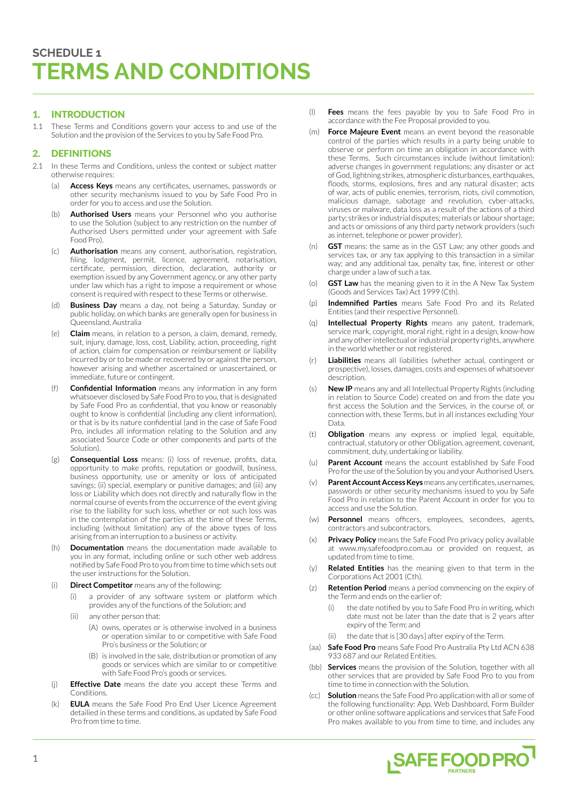# 1. INTRODUCTION

1.1 These Terms and Conditions govern your access to and use of the Solution and the provision of the Services to you by Safe Food Pro.

# 2. DEFINITIONS

- 2.1 In these Terms and Conditions, unless the context or subject matter otherwise requires:
	- Access Keys means any certificates, usernames, passwords or other security mechanisms issued to you by Safe Food Pro in order for you to access and use the Solution.
	- (b) **Authorised Users** means your Personnel who you authorise to use the Solution (subject to any restriction on the number of Authorised Users permitted under your agreement with Safe Food Pro).
	- Authorisation means any consent, authorisation, registration, filing, lodgment, permit, licence, agreement, notarisation, certificate, permission, direction, declaration, authority or exemption issued by any Government agency, or any other party under law which has a right to impose a requirement or whose consent is required with respect to these Terms or otherwise.
	- **Business Day** means a day, not being a Saturday, Sunday or public holiday, on which banks are generally open for business in Queensland, Australia
	- (e) **Claim** means, in relation to a person, a claim, demand, remedy, suit, injury, damage, loss, cost, Liability, action, proceeding, right of action, claim for compensation or reimbursement or liability incurred by or to be made or recovered by or against the person, however arising and whether ascertained or unascertained, or immediate, future or contingent.
	- (f) **Confidential Information** means any information in any form whatsoever disclosed by Safe Food Pro to you, that is designated by Safe Food Pro as confidential, that you know or reasonably ought to know is confidential (including any client information), or that is by its nature confidential (and in the case of Safe Food Pro, includes all information relating to the Solution and any associated Source Code or other components and parts of the Solution).
	- (g) **Consequential Loss** means: (i) loss of revenue, profits, data, opportunity to make profits, reputation or goodwill, business, business opportunity, use or amenity or loss of anticipated savings; (ii) special, exemplary or punitive damages; and (iii) any loss or Liability which does not directly and naturally flow in the normal course of events from the occurrence of the event giving rise to the liability for such loss, whether or not such loss was in the contemplation of the parties at the time of these Terms, including (without limitation) any of the above types of loss arising from an interruption to a business or activity.
	- (h) **Documentation** means the documentation made available to you in any format, including online or such other web address notified by Safe Food Pro to you from time to time which sets out the user instructions for the Solution.
	- (i) **Direct Competitor** means any of the following:
		- (i) a provider of any software system or platform which provides any of the functions of the Solution; and
		- (ii) any other person that:
			- (A) owns, operates or is otherwise involved in a business or operation similar to or competitive with Safe Food Pro's business or the Solution; or
			- (B) is involved in the sale, distribution or promotion of any goods or services which are similar to or competitive with Safe Food Pro's goods or services.
	- (j) **Effective Date** means the date you accept these Terms and Conditions.
	- (k) **EULA** means the Safe Food Pro End User Licence Agreement detailied in these terms and conditions, as updated by Safe Food Pro from time to time.
- (l) **Fees** means the fees payable by you to Safe Food Pro in accordance with the Fee Proposal provided to you.
- (m) **Force Majeure Event** means an event beyond the reasonable control of the parties which results in a party being unable to observe or perform on time an obligation in accordance with these Terms. Such circumstances include (without limitation): adverse changes in government regulations; any disaster or act of God, lightning strikes, atmospheric disturbances, earthquakes, floods, storms, explosions, fires and any natural disaster; acts of war, acts of public enemies, terrorism, riots, civil commotion, malicious damage, sabotage and revolution, cyber-attacks, viruses or malware, data loss as a result of the actions of a third party; strikes or industrial disputes; materials or labour shortage; and acts or omissions of any third party network providers (such as internet, telephone or power provider).
- (n) **GST** means: the same as in the GST Law; any other goods and services tax, or any tax applying to this transaction in a similar way; and any additional tax, penalty tax, fine, interest or other charge under a law of such a tax.
- **GST Law** has the meaning given to it in the A New Tax System (Goods and Services Tax) Act 1999 (Cth).
- (p) **Indemnified Parties** means Safe Food Pro and its Related Entities (and their respective Personnel).
- (q) **Intellectual Property Rights** means any patent, trademark, service mark, copyright, moral right, right in a design, know-how and any other intellectual or industrial property rights, anywhere in the world whether or not registered.
- Liabilities means all liabilities (whether actual, contingent or prospective), losses, damages, costs and expenses of whatsoever description.
- (s) **New IP** means any and all Intellectual Property Rights (including in relation to Source Code) created on and from the date you first access the Solution and the Services, in the course of, or connection with, these Terms, but in all instances excluding Your Data.
- (t) **Obligation** means any express or implied legal, equitable, contractual, statutory or other Obligation, agreement, covenant, commitment, duty, undertaking or liability.
- (u) **Parent Account** means the account established by Safe Food Pro for the use of the Solution by you and your Authorised Users.
- (v) **Parent Account Access Keys** means any certificates, usernames, passwords or other security mechanisms issued to you by Safe Food Pro in relation to the Parent Account in order for you to access and use the Solution.
- (w) **Personnel** means officers, employees, secondees, agents, contractors and subcontractors.
- (x) **Privacy Policy** means the Safe Food Pro privacy policy available at [www.my.safefoodpro.com.au](https://my.safefoodpro.com.au/#/) or provided on request, as updated from time to time.
- (y) **Related Entities** has the meaning given to that term in the Corporations Act 2001 (Cth).
- (z) **Retention Period** means a period commencing on the expiry of the Term and ends on the earlier of:
	- (i) the date notified by you to Safe Food Pro in writing, which date must not be later than the date that is 2 years after expiry of the Term; and
	- the date that is [30 days] after expiry of the Term.
- (aa) **Safe Food Pro** means Safe Food Pro Australia Pty Ltd ACN 638 933 687 and our Related Entities.
- (bb) **Services** means the provision of the Solution, together with all other services that are provided by Safe Food Pro to you from time to time in connection with the Solution.
- (cc) **Solution** means the Safe Food Pro application with all or some of the following functionality: App, Web Dashboard, Form Builder or other online software applications and services that Safe Food Pro makes available to you from time to time, and includes any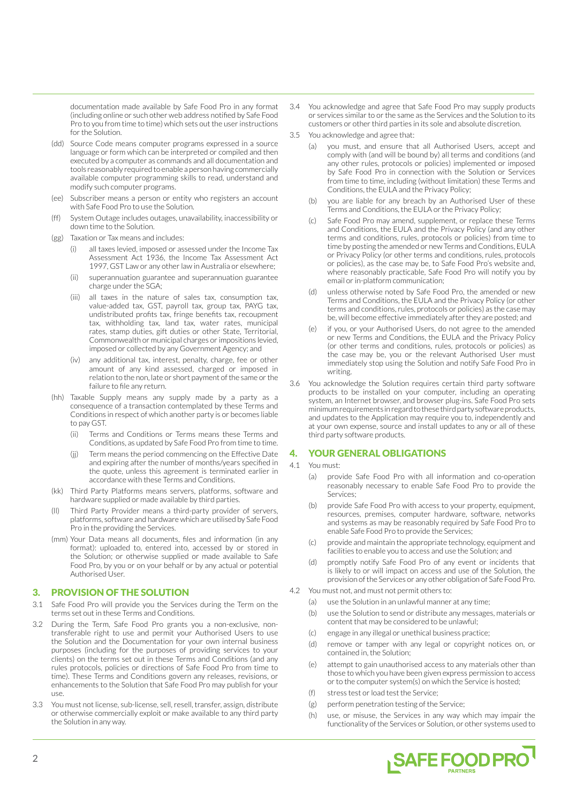documentation made available by Safe Food Pro in any format (including online or such other web address notified by Safe Food Pro to you from time to time) which sets out the user instructions for the Solution.

- (dd) Source Code means computer programs expressed in a source language or form which can be interpreted or compiled and then executed by a computer as commands and all documentation and tools reasonably required to enable a person having commercially available computer programming skills to read, understand and modify such computer programs.
- (ee) Subscriber means a person or entity who registers an account with Safe Food Pro to use the Solution.
- (ff) System Outage includes outages, unavailability, inaccessibility or down time to the Solution.
- (gg) Taxation or Tax means and includes:
	- all taxes levied, imposed or assessed under the Income Tax Assessment Act 1936, the Income Tax Assessment Act 1997, GST Law or any other law in Australia or elsewhere;
	- (ii) superannuation guarantee and superannuation guarantee charge under the SGA;
	- (iii) all taxes in the nature of sales tax, consumption tax, value-added tax, GST, payroll tax, group tax, PAYG tax, undistributed profits tax, fringe benefits tax, recoupment tax, withholding tax, land tax, water rates, municipal rates, stamp duties, gift duties or other State, Territorial, Commonwealth or municipal charges or impositions levied, imposed or collected by any Government Agency; and
	- (iv) any additional tax, interest, penalty, charge, fee or other amount of any kind assessed, charged or imposed in relation to the non, late or short payment of the same or the failure to file any return.
- (hh) Taxable Supply means any supply made by a party as a consequence of a transaction contemplated by these Terms and Conditions in respect of which another party is or becomes liable to pay GST.
	- (ii) Terms and Conditions or Terms means these Terms and Conditions, as updated by Safe Food Pro from time to time.
	- (jj) Term means the period commencing on the Effective Date and expiring after the number of months/years specified in the quote, unless this agreement is terminated earlier in accordance with these Terms and Conditions.
- (kk) Third Party Platforms means servers, platforms, software and hardware supplied or made available by third parties.
- (ll) Third Party Provider means a third-party provider of servers, platforms, software and hardware which are utilised by Safe Food Pro in the providing the Services.
- (mm) Your Data means all documents, files and information (in any format): uploaded to, entered into, accessed by or stored in the Solution; or otherwise supplied or made available to Safe Food Pro, by you or on your behalf or by any actual or potential Authorised User.

## 3. PROVISION OF THE SOLUTION

- 3.1 Safe Food Pro will provide you the Services during the Term on the terms set out in these Terms and Conditions.
- 3.2 During the Term, Safe Food Pro grants you a non-exclusive, nontransferable right to use and permit your Authorised Users to use the Solution and the Documentation for your own internal business purposes (including for the purposes of providing services to your clients) on the terms set out in these Terms and Conditions (and any rules protocols, policies or directions of Safe Food Pro from time to time). These Terms and Conditions govern any releases, revisions, or enhancements to the Solution that Safe Food Pro may publish for your use.
- 3.3 You must not license, sub-license, sell, resell, transfer, assign, distribute or otherwise commercially exploit or make available to any third party the Solution in any way.
- 3.4 You acknowledge and agree that Safe Food Pro may supply products or services similar to or the same as the Services and the Solution to its customers or other third parties in its sole and absolute discretion.
- 3.5 You acknowledge and agree that:
	- (a) you must, and ensure that all Authorised Users, accept and comply with (and will be bound by) all terms and conditions (and any other rules, protocols or policies) implemented or imposed by Safe Food Pro in connection with the Solution or Services from time to time, including (without limitation) these Terms and Conditions, the EULA and the Privacy Policy;
	- (b) you are liable for any breach by an Authorised User of these Terms and Conditions, the EULA or the Privacy Policy;
	- (c) Safe Food Pro may amend, supplement, or replace these Terms and Conditions, the EULA and the Privacy Policy (and any other terms and conditions, rules, protocols or policies) from time to time by posting the amended or new Terms and Conditions, EULA or Privacy Policy (or other terms and conditions, rules, protocols or policies), as the case may be, to Safe Food Pro's website and, where reasonably practicable, Safe Food Pro will notify you by email or in-platform communication;
	- (d) unless otherwise noted by Safe Food Pro, the amended or new Terms and Conditions, the EULA and the Privacy Policy (or other terms and conditions, rules, protocols or policies) as the case may be, will become effective immediately after they are posted; and
	- if you, or your Authorised Users, do not agree to the amended or new Terms and Conditions, the EULA and the Privacy Policy (or other terms and conditions, rules, protocols or policies) as the case may be, you or the relevant Authorised User must immediately stop using the Solution and notify Safe Food Pro in writing.
- 3.6 You acknowledge the Solution requires certain third party software products to be installed on your computer, including an operating system, an Internet browser, and browser plug-ins. Safe Food Pro sets minimum requirements in regard to these third party software products, and updates to the Application may require you to, independently and at your own expense, source and install updates to any or all of these third party software products.

# 4. YOUR GENERAL OBLIGATIONS

- 4.1 You must:
	- (a) provide Safe Food Pro with all information and co-operation reasonably necessary to enable Safe Food Pro to provide the Services;
	- (b) provide Safe Food Pro with access to your property, equipment, resources, premises, computer hardware, software, networks and systems as may be reasonably required by Safe Food Pro to enable Safe Food Pro to provide the Services;
	- (c) provide and maintain the appropriate technology, equipment and facilities to enable you to access and use the Solution; and
	- promptly notify Safe Food Pro of any event or incidents that is likely to or will impact on access and use of the Solution, the provision of the Services or any other obligation of Safe Food Pro.
- 4.2 You must not, and must not permit others to:
	- (a) use the Solution in an unlawful manner at any time;
	- (b) use the Solution to send or distribute any messages, materials or content that may be considered to be unlawful;
	- (c) engage in any illegal or unethical business practice;
	- (d) remove or tamper with any legal or copyright notices on, or contained in, the Solution;
	- (e) attempt to gain unauthorised access to any materials other than those to which you have been given express permission to access or to the computer system(s) on which the Service is hosted;
	- (f) stress test or load test the Service;
	- (g) perform penetration testing of the Service;
	- (h) use, or misuse, the Services in any way which may impair the functionality of the Services or Solution, or other systems used to

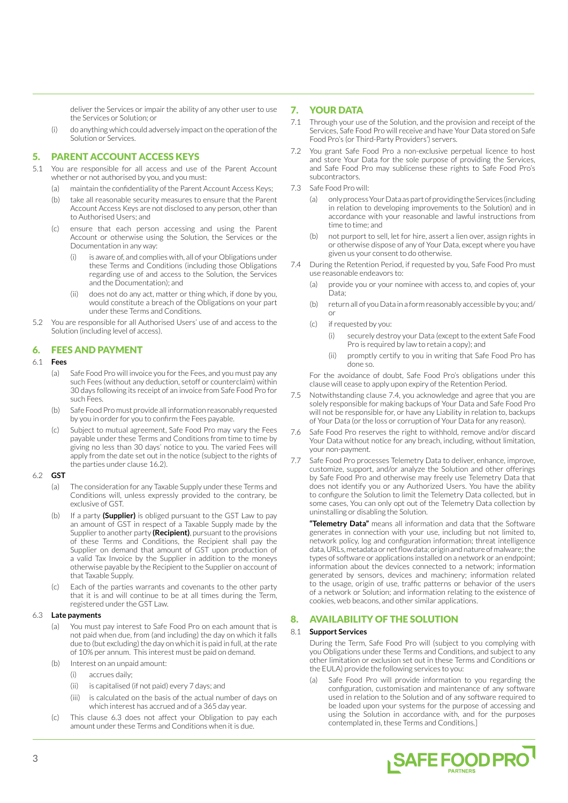deliver the Services or impair the ability of any other user to use the Services or Solution; or

(i) do anything which could adversely impact on the operation of the Solution or Services.

# 5. PARENT ACCOUNT ACCESS KEYS

- 5.1 You are responsible for all access and use of the Parent Account whether or not authorised by you, and you must:
	- (a) maintain the confidentiality of the Parent Account Access Keys;
	- (b) take all reasonable security measures to ensure that the Parent Account Access Keys are not disclosed to any person, other than to Authorised Users; and
	- (c) ensure that each person accessing and using the Parent Account or otherwise using the Solution, the Services or the Documentation in any way:
		- is aware of, and complies with, all of your Obligations under these Terms and Conditions (including those Obligations regarding use of and access to the Solution, the Services and the Documentation); and
		- (ii) does not do any act, matter or thing which, if done by you, would constitute a breach of the Obligations on your part under these Terms and Conditions.
- 5.2 You are responsible for all Authorised Users' use of and access to the Solution (including level of access).

# 6. FEES AND PAYMENT

### 6.1 **Fees**

- (a) Safe Food Pro will invoice you for the Fees, and you must pay any such Fees (without any deduction, setoff or counterclaim) within 30 days following its receipt of an invoice from Safe Food Pro for such Fees.
- (b) Safe Food Pro must provide all information reasonably requested by you in order for you to confirm the Fees payable.
- (c) Subject to mutual agreement, Safe Food Pro may vary the Fees payable under these Terms and Conditions from time to time by giving no less than 30 days' notice to you. The varied Fees will apply from the date set out in the notice (subject to the rights of the parties under clause 16.2).

### 6.2 **GST**

- (a) The consideration for any Taxable Supply under these Terms and Conditions will, unless expressly provided to the contrary, be exclusive of GST.
- (b) If a party **(Supplier)** is obliged pursuant to the GST Law to pay an amount of GST in respect of a Taxable Supply made by the Supplier to another party **(Recipient)**, pursuant to the provisions of these Terms and Conditions, the Recipient shall pay the Supplier on demand that amount of GST upon production of a valid Tax Invoice by the Supplier in addition to the moneys otherwise payable by the Recipient to the Supplier on account of that Taxable Supply.
- (c) Each of the parties warrants and covenants to the other party that it is and will continue to be at all times during the Term, registered under the GST Law.

### 6.3 **Late payments**

- (a) You must pay interest to Safe Food Pro on each amount that is not paid when due, from (and including) the day on which it falls due to (but excluding) the day on which it is paid in full, at the rate of 10% per annum. This interest must be paid on demand.
- (b) Interest on an unpaid amount:
	- (i) accrues daily;
	- (ii) is capitalised (if not paid) every 7 days; and
	- (iii) is calculated on the basis of the actual number of days on which interest has accrued and of a 365 day year.
- (c) This clause 6.3 does not affect your Obligation to pay each amount under these Terms and Conditions when it is due.

# 7. YOUR DATA

- 7.1 Through your use of the Solution, and the provision and receipt of the Services, Safe Food Pro will receive and have Your Data stored on Safe Food Pro's (or Third-Party Providers') servers.
- 7.2 You grant Safe Food Pro a non-exclusive perpetual licence to host and store Your Data for the sole purpose of providing the Services, and Safe Food Pro may sublicense these rights to Safe Food Pro's subcontractors.
- 7.3 Safe Food Pro will:
	- (a) only process Your Data as part of providing the Services (including in relation to developing improvements to the Solution) and in accordance with your reasonable and lawful instructions from time to time; and
	- (b) not purport to sell, let for hire, assert a lien over, assign rights in or otherwise dispose of any of Your Data, except where you have given us your consent to do otherwise.
- 7.4 During the Retention Period, if requested by you, Safe Food Pro must use reasonable endeavors to:
	- (a) provide you or your nominee with access to, and copies of, your Data;
	- (b) return all of you Data in a form reasonably accessible by you; and/ or
	- (c) if requested by you:
		- (i) securely destroy your Data (except to the extent Safe Food Pro is required by law to retain a copy); and
		- (ii) promptly certify to you in writing that Safe Food Pro has done so.

For the avoidance of doubt, Safe Food Pro's obligations under this clause will cease to apply upon expiry of the Retention Period.

- 7.5 Notwithstanding clause 7.4, you acknowledge and agree that you are solely responsible for making backups of Your Data and Safe Food Pro will not be responsible for, or have any Liability in relation to, backups of Your Data (or the loss or corruption of Your Data for any reason).
- 7.6 Safe Food Pro reserves the right to withhold, remove and/or discard Your Data without notice for any breach, including, without limitation, your non-payment.
- 7.7 Safe Food Pro processes Telemetry Data to deliver, enhance, improve, customize, support, and/or analyze the Solution and other offerings by Safe Food Pro and otherwise may freely use Telemetry Data that does not identify you or any Authorized Users. You have the ability to configure the Solution to limit the Telemetry Data collected, but in some cases, You can only opt out of the Telemetry Data collection by uninstalling or disabling the Solution.

**"Telemetry Data"** means all information and data that the Software generates in connection with your use, including but not limited to, network policy, log and configuration information; threat intelligence data, URLs, metadata or net flow data; origin and nature of malware; the types of software or applications installed on a network or an endpoint; information about the devices connected to a network; information generated by sensors, devices and machinery; information related to the usage, origin of use, traffic patterns or behavior of the users of a network or Solution; and information relating to the existence of cookies, web beacons, and other similar applications.

## 8. AVAILABILITY OF THE SOLUTION

### 8.1 **Support Services**

During the Term, Safe Food Pro will (subject to you complying with you Obligations under these Terms and Conditions, and subject to any other limitation or exclusion set out in these Terms and Conditions or the EULA) provide the following services to you:

(a) Safe Food Pro will provide information to you regarding the configuration, customisation and maintenance of any software used in relation to the Solution and of any software required to be loaded upon your systems for the purpose of accessing and using the Solution in accordance with, and for the purposes contemplated in, these Terms and Conditions.]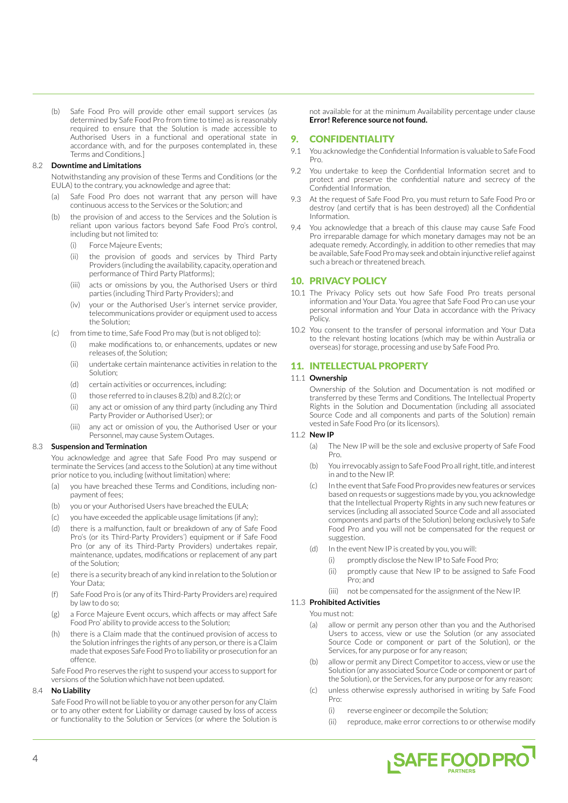(b) Safe Food Pro will provide other email support services (as determined by Safe Food Pro from time to time) as is reasonably required to ensure that the Solution is made accessible to Authorised Users in a functional and operational state in accordance with, and for the purposes contemplated in, these Terms and Conditions.]

#### 8.2 **Downtime and Limitations**

Notwithstanding any provision of these Terms and Conditions (or the EULA) to the contrary, you acknowledge and agree that:

- (a) Safe Food Pro does not warrant that any person will have continuous access to the Services or the Solution; and
- (b) the provision of and access to the Services and the Solution is reliant upon various factors beyond Safe Food Pro's control, including but not limited to:
	- (i) Force Majeure Events;
	- (ii) the provision of goods and services by Third Party Providers (including the availability, capacity, operation and performance of Third Party Platforms);
	- (iii) acts or omissions by you, the Authorised Users or third parties (including Third Party Providers); and
	- (iv) your or the Authorised User's internet service provider, telecommunications provider or equipment used to access the Solution;
- (c) from time to time, Safe Food Pro may (but is not obliged to):
	- (i) make modifications to, or enhancements, updates or new releases of, the Solution;
	- (ii) undertake certain maintenance activities in relation to the Solution;
	- (d) certain activities or occurrences, including:
	- (i) those referred to in clauses 8.2(b) and 8.2(c); or
	- (ii) any act or omission of any third party (including any Third Party Provider or Authorised User); or
	- (iii) any act or omission of you, the Authorised User or your Personnel, may cause System Outages.

### 8.3 **Suspension and Termination**

You acknowledge and agree that Safe Food Pro may suspend or terminate the Services (and access to the Solution) at any time without prior notice to you, including (without limitation) where:

- (a) you have breached these Terms and Conditions, including nonpayment of fees;
- (b) you or your Authorised Users have breached the EULA;
- (c) you have exceeded the applicable usage limitations (if any);
- (d) there is a malfunction, fault or breakdown of any of Safe Food Pro's (or its Third-Party Providers') equipment or if Safe Food Pro (or any of its Third-Party Providers) undertakes repair, maintenance, updates, modifications or replacement of any part of the Solution;
- (e) there is a security breach of any kind in relation to the Solution or Your Data;
- (f) Safe Food Pro is (or any of its Third-Party Providers are) required by law to do so;
- (g) a Force Majeure Event occurs, which affects or may affect Safe Food Pro' ability to provide access to the Solution;
- (h) there is a Claim made that the continued provision of access to the Solution infringes the rights of any person, or there is a Claim made that exposes Safe Food Pro to liability or prosecution for an offence.

Safe Food Pro reserves the right to suspend your access to support for versions of the Solution which have not been updated.

#### 8.4 **No Liability**

Safe Food Pro will not be liable to you or any other person for any Claim or to any other extent for Liability or damage caused by loss of access or functionality to the Solution or Services (or where the Solution is

not available for at the minimum Availability percentage under clause **Error! Reference source not found.**

### 9. CONFIDENTIALITY

- 9.1 You acknowledge the Confidential Information is valuable to Safe Food Pro.
- 9.2 You undertake to keep the Confidential Information secret and to protect and preserve the confidential nature and secrecy of the Confidential Information.
- 9.3 At the request of Safe Food Pro, you must return to Safe Food Pro or destroy (and certify that is has been destroyed) all the Confidential Information.
- 9.4 You acknowledge that a breach of this clause may cause Safe Food Pro irreparable damage for which monetary damages may not be an adequate remedy. Accordingly, in addition to other remedies that may be available, Safe Food Pro may seek and obtain injunctive relief against such a breach or threatened breach.

### 10. PRIVACY POLICY

- 10.1 The Privacy Policy sets out how Safe Food Pro treats personal information and Your Data. You agree that Safe Food Pro can use your personal information and Your Data in accordance with the Privacy Policy.
- 10.2 You consent to the transfer of personal information and Your Data to the relevant hosting locations (which may be within Australia or overseas) for storage, processing and use by Safe Food Pro.

#### 11. INTELLECTUAL PROPERTY

#### 11.1 **Ownership**

Ownership of the Solution and Documentation is not modified or transferred by these Terms and Conditions. The Intellectual Property Rights in the Solution and Documentation (including all associated Source Code and all components and parts of the Solution) remain vested in Safe Food Pro (or its licensors).

#### 11.2 **New IP**

- (a) The New IP will be the sole and exclusive property of Safe Food Pro.
- (b) You irrevocably assign to Safe Food Pro all right, title, and interest in and to the New IP.
- (c) In the event that Safe Food Pro provides new features or services based on requests or suggestions made by you, you acknowledge that the Intellectual Property Rights in any such new features or services (including all associated Source Code and all associated components and parts of the Solution) belong exclusively to Safe Food Pro and you will not be compensated for the request or suggestion.
- (d) In the event New IP is created by you, you will:
	- (i) promptly disclose the New IP to Safe Food Pro;
	- (ii) promptly cause that New IP to be assigned to Safe Food Pro; and
	- (iii) not be compensated for the assignment of the New IP.

### 11.3 **Prohibited Activities**

You must not:

- (a) allow or permit any person other than you and the Authorised Users to access, view or use the Solution (or any associated Source Code or component or part of the Solution), or the Services, for any purpose or for any reason;
- (b) allow or permit any Direct Competitor to access, view or use the Solution (or any associated Source Code or component or part of the Solution), or the Services, for any purpose or for any reason;
- (c) unless otherwise expressly authorised in writing by Safe Food Pro:
	- (i) reverse engineer or decompile the Solution;
	- (ii) reproduce, make error corrections to or otherwise modify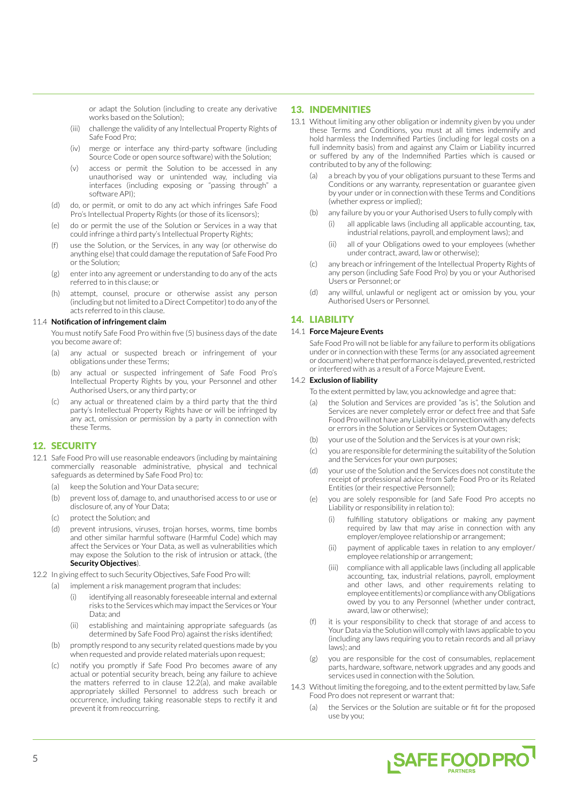or adapt the Solution (including to create any derivative works based on the Solution);

- (iii) challenge the validity of any Intellectual Property Rights of Safe Food Pro;
- (iv) merge or interface any third-party software (including Source Code or open source software) with the Solution;
- (v) access or permit the Solution to be accessed in any unauthorised way or unintended way, including via interfaces (including exposing or "passing through" a software API).
- (d) do, or permit, or omit to do any act which infringes Safe Food Pro's Intellectual Property Rights (or those of its licensors);
- (e) do or permit the use of the Solution or Services in a way that could infringe a third party's Intellectual Property Rights;
- (f) use the Solution, or the Services, in any way (or otherwise do anything else) that could damage the reputation of Safe Food Pro or the Solution;
- (g) enter into any agreement or understanding to do any of the acts referred to in this clause; or
- (h) attempt, counsel, procure or otherwise assist any person (including but not limited to a Direct Competitor) to do any of the acts referred to in this clause.

### 11.4 **Notification of infringement claim**

You must notify Safe Food Pro within five (5) business days of the date you become aware of:

- (a) any actual or suspected breach or infringement of your obligations under these Terms;
- (b) any actual or suspected infringement of Safe Food Pro's Intellectual Property Rights by you, your Personnel and other Authorised Users, or any third party; or
- (c) any actual or threatened claim by a third party that the third party's Intellectual Property Rights have or will be infringed by any act, omission or permission by a party in connection with these Terms.

## 12. SECURITY

- 12.1 Safe Food Pro will use reasonable endeavors (including by maintaining commercially reasonable administrative, physical and technical safeguards as determined by Safe Food Pro) to:
	- (a) keep the Solution and Your Data secure:
	- (b) prevent loss of, damage to, and unauthorised access to or use or disclosure of, any of Your Data;
	- (c) protect the Solution; and
	- (d) prevent intrusions, viruses, trojan horses, worms, time bombs and other similar harmful software (Harmful Code) which may affect the Services or Your Data, as well as vulnerabilities which may expose the Solution to the risk of intrusion or attack, (the **Security Objectives**).
- 12.2 In giving effect to such Security Objectives, Safe Food Pro will:
	- (a) implement a risk management program that includes:
		- (i) identifying all reasonably foreseeable internal and external risks to the Services which may impact the Services or Your Data; and
		- (ii) establishing and maintaining appropriate safeguards (as determined by Safe Food Pro) against the risks identified;
	- (b) promptly respond to any security related questions made by you when requested and provide related materials upon request;
	- (c) notify you promptly if Safe Food Pro becomes aware of any actual or potential security breach, being any failure to achieve the matters referred to in clause 12.2(a), and make available appropriately skilled Personnel to address such breach or occurrence, including taking reasonable steps to rectify it and prevent it from reoccurring.

## 13. INDEMNITIES

- 13.1 Without limiting any other obligation or indemnity given by you under these Terms and Conditions, you must at all times indemnify and hold harmless the Indemnified Parties (including for legal costs on a full indemnity basis) from and against any Claim or Liability incurred or suffered by any of the Indemnified Parties which is caused or contributed to by any of the following:
	- a breach by you of your obligations pursuant to these Terms and Conditions or any warranty, representation or guarantee given by your under or in connection with these Terms and Conditions (whether express or implied);
	- (b) any failure by you or your Authorised Users to fully comply with
		- (i) all applicable laws (including all applicable accounting, tax, industrial relations, payroll, and employment laws); and
		- (ii) all of your Obligations owed to your employees (whether under contract, award, law or otherwise);
	- (c) any breach or infringement of the Intellectual Property Rights of any person (including Safe Food Pro) by you or your Authorised Users or Personnel; or
	- (d) any willful, unlawful or negligent act or omission by you, your Authorised Users or Personnel.

# 14. LIABILITY

### 14.1 **Force Majeure Events**

Safe Food Pro will not be liable for any failure to perform its obligations under or in connection with these Terms (or any associated agreement or document) where that performance is delayed, prevented, restricted or interfered with as a result of a Force Majeure Event.

### 14.2 **Exclusion of liability**

To the extent permitted by law, you acknowledge and agree that:

- (a) the Solution and Services are provided "as is", the Solution and Services are never completely error or defect free and that Safe Food Pro will not have any Liability in connection with any defects or errors in the Solution or Services or System Outages;
- (b) your use of the Solution and the Services is at your own risk;
- (c) you are responsible for determining the suitability of the Solution and the Services for your own purposes;
- (d) your use of the Solution and the Services does not constitute the receipt of professional advice from Safe Food Pro or its Related Entities (or their respective Personnel);
- (e) you are solely responsible for (and Safe Food Pro accepts no Liability or responsibility in relation to):
	- fulfilling statutory obligations or making any payment required by law that may arise in connection with any employer/employee relationship or arrangement;
	- (ii) payment of applicable taxes in relation to any employer/ employee relationship or arrangement;
	- (iii) compliance with all applicable laws (including all applicable accounting, tax, industrial relations, payroll, employment and other laws, and other requirements relating to employee entitlements) or compliance with any Obligations owed by you to any Personnel (whether under contract, award, law or otherwise);
- (f) it is your responsibility to check that storage of and access to Your Data via the Solution will comply with laws applicable to you (including any laws requiring you to retain records and all priavy laws); and
- (g) you are responsible for the cost of consumables, replacement parts, hardware, software, network upgrades and any goods and services used in connection with the Solution.
- 14.3 Without limiting the foregoing, and to the extent permitted by law, Safe Food Pro does not represent or warrant that:
	- (a) the Services or the Solution are suitable or fit for the proposed use by you;

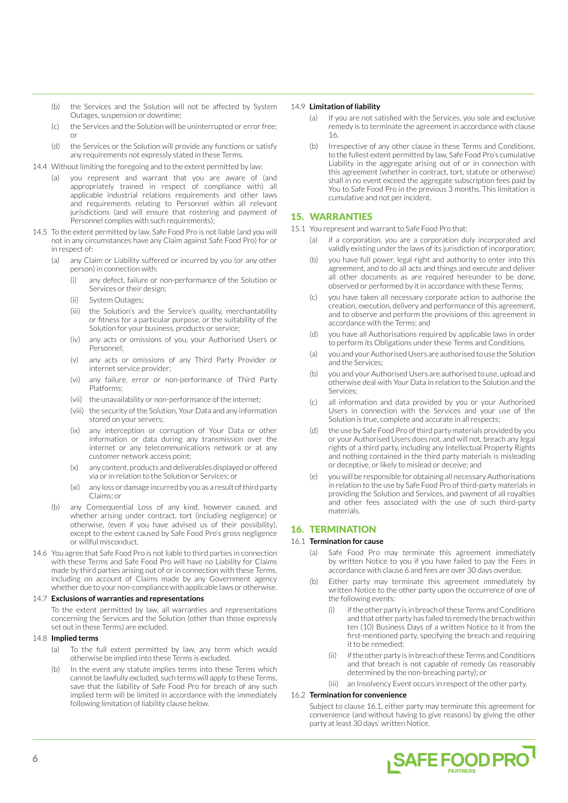- (b) the Services and the Solution will not be affected by System Outages, suspension or downtime;
- (c) the Services and the Solution will be uninterrupted or error free; or
- (d) the Services or the Solution will provide any functions or satisfy any requirements not expressly stated in these Terms.
- 14.4 Without limiting the foregoing and to the extent permitted by law:
	- (a) you represent and warrant that you are aware of (and appropriately trained in respect of compliance with) all applicable industrial relations requirements and other laws and requirements relating to Personnel within all relevant jurisdictions (and will ensure that rostering and payment of Personnel complies with such requirements);
- 14.5 To the extent permitted by law, Safe Food Pro is not liable (and you will not in any circumstances have any Claim against Safe Food Pro) for or in respect of:
	- (a) any Claim or Liability suffered or incurred by you (or any other person) in connection with:
		- (i) any defect, failure or non-performance of the Solution or Services or their design;
		- (ii) System Outages;
		- (iii) the Solution's and the Service's quality, merchantability or fitness for a particular purpose, or the suitability of the Solution for your business, products or service;
		- (iv) any acts or omissions of you, your Authorised Users or Personnel;
		- (v) any acts or omissions of any Third Party Provider or internet service provider;
		- (vi) any failure, error or non-performance of Third Party Platforms;
		- (vii) the unavailability or non-performance of the internet;
		- (viii) the security of the Solution, Your Data and any information stored on your servers;
		- (ix) any interception or corruption of Your Data or other information or data during any transmission over the internet or any telecommunications network or at any customer network access point;
		- (x) any content, products and deliverables displayed or offered via or in relation to the Solution or Services; or
		- (xi) any loss or damage incurred by you as a result of third party Claims; or
	- (b) any Consequential Loss of any kind, however caused, and whether arising under contract, tort (including negligence) or otherwise, (even if you have advised us of their possibility), except to the extent caused by Safe Food Pro's gross negligence or willful misconduct.
- 14.6 You agree that Safe Food Pro is not liable to third parties in connection with these Terms and Safe Food Pro will have no Liability for Claims made by third parties arising out of or in connection with these Terms, including on account of Claims made by any Government agency whether due to your non-compliance with applicable laws or otherwise.

#### 14.7 **Exclusions of warranties and representations**

To the extent permitted by law, all warranties and representations concerning the Services and the Solution (other than those expressly set out in these Terms) are excluded.

#### 14.8 **Implied terms**

- (a) To the full extent permitted by law, any term which would otherwise be implied into these Terms is excluded.
- (b) In the event any statute implies terms into these Terms which cannot be lawfully excluded, such terms will apply to these Terms, save that the liability of Safe Food Pro for breach of any such implied term will be limited in accordance with the immediately following limitation of liability clause below.

#### 14.9 **Limitation of liability**

- (a) If you are not satisfied with the Services, you sole and exclusive remedy is to terminate the agreement in accordance with clause 16.
- (b) Irrespective of any other clause in these Terms and Conditions, to the fullest extent permitted by law, Safe Food Pro's cumulative Liability in the aggregate arising out of or in connection with this agreement (whether in contract, tort, statute or otherwise) shall in no event exceed the aggregate subscription fees paid by You to Safe Food Pro in the previous 3 months. This limitation is cumulative and not per incident.

## 15. WARRANTIES

- 15.1 You represent and warrant to Safe Food Pro that:
	- (a) if a corporation, you are a corporation duly incorporated and validly existing under the laws of its jurisdiction of incorporation;
	- (b) you have full power, legal right and authority to enter into this agreement, and to do all acts and things and execute and deliver all other documents as are required hereunder to be done, observed or performed by it in accordance with these Terms;
	- you have taken all necessary corporate action to authorise the creation, execution, delivery and performance of this agreement, and to observe and perform the provisions of this agreement in accordance with the Terms; and
	- (d) you have all Authorisations required by applicable laws in order to perform its Obligations under these Terms and Conditions.
	- (a) you and your Authorised Users are authorised to use the Solution and the Services;
	- (b) you and your Authorised Users are authorised to use, upload and otherwise deal with Your Data in relation to the Solution and the Services;
	- (c) all information and data provided by you or your Authorised Users in connection with the Services and your use of the Solution is true, complete and accurate in all respects;
	- (d) the use by Safe Food Pro of third party materials provided by you or your Authorised Users does not, and will not, breach any legal rights of a third party, including any Intellectual Property Rights and nothing contained in the third party materials is misleading or deceptive, or likely to mislead or deceive; and
	- you will be responsible for obtaining all necessary Authorisations in relation to the use by Safe Food Pro of third-party materials in providing the Solution and Services, and payment of all royalties and other fees associated with the use of such third-party materials.

# 16. TERMINATION

### 16.1 **Termination for cause**

- (a) Safe Food Pro may terminate this agreement immediately by written Notice to you if you have failed to pay the Fees in accordance with clause 6 and fees are over 30 days overdue.
- (b) Either party may terminate this agreement immediately by written Notice to the other party upon the occurrence of one of the following events:
	- if the other party is in breach of these Terms and Conditions and that other party has failed to remedy the breach within ten (10) Business Days of a written Notice to it from the first-mentioned party, specifying the breach and requiring it to be remedied;
	- (ii) if the other party is in breach of these Terms and Conditions and that breach is not capable of remedy (as reasonably determined by the non-breaching party); or
	- (iii) an Insolvency Event occurs in respect of the other party.

#### 16.2 **Termination for convenience**

Subject to clause 16.1, either party may terminate this agreement for convenience (and without having to give reasons) by giving the other party at least 30 days' written Notice.